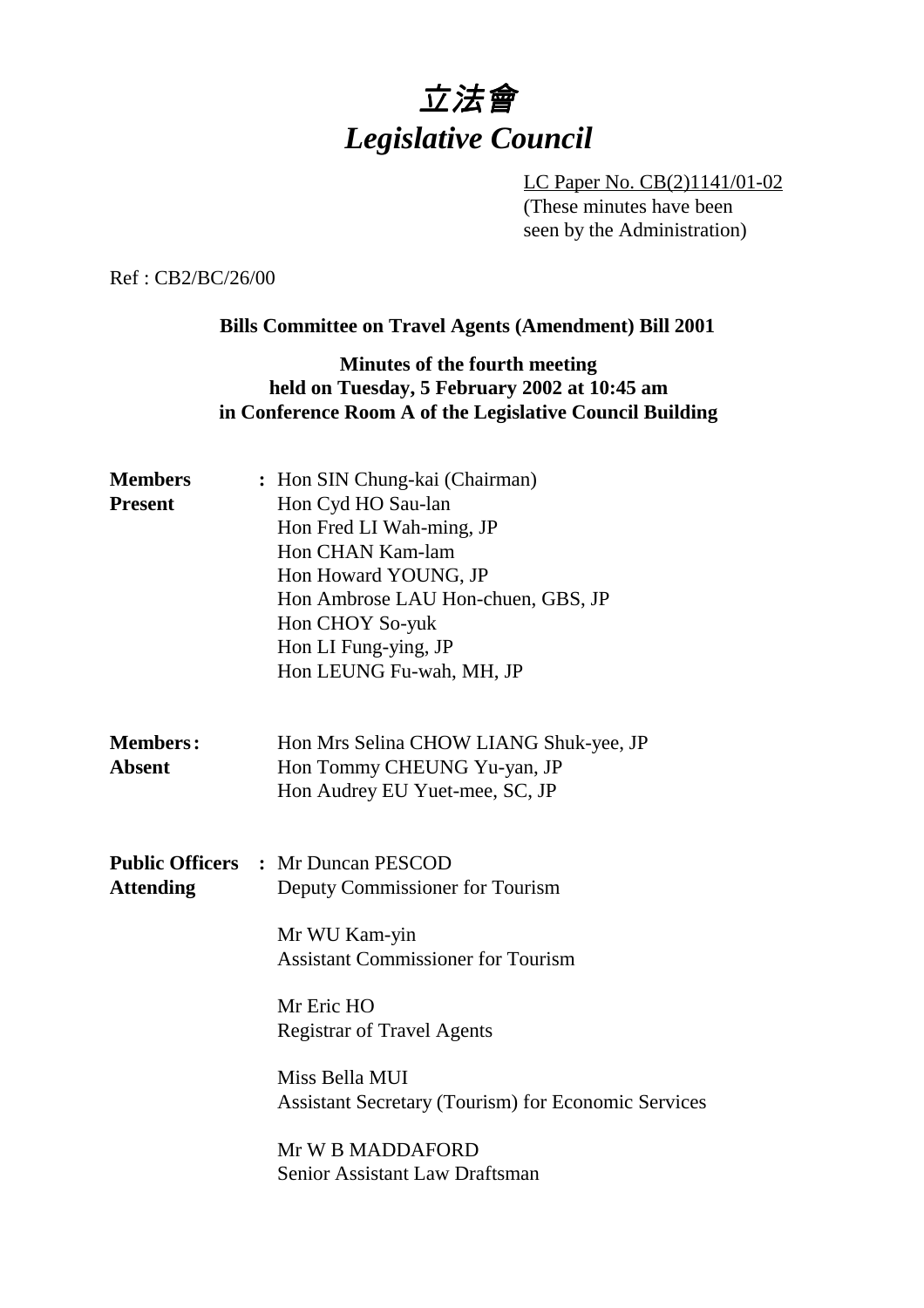# 立法會 *Legislative Council*

LC Paper No. CB(2)1141/01-02 (These minutes have been seen by the Administration)

Ref : CB2/BC/26/00

### **Bills Committee on Travel Agents (Amendment) Bill 2001**

### **Minutes of the fourth meeting held on Tuesday, 5 February 2002 at 10:45 am in Conference Room A of the Legislative Council Building**

| <b>Members</b><br><b>Present</b> | : Hon SIN Chung-kai (Chairman)<br>Hon Cyd HO Sau-lan<br>Hon Fred LI Wah-ming, JP<br>Hon CHAN Kam-lam<br>Hon Howard YOUNG, JP<br>Hon Ambrose LAU Hon-chuen, GBS, JP<br>Hon CHOY So-yuk<br>Hon LI Fung-ying, JP<br>Hon LEUNG Fu-wah, MH, JP                                                                                                  |
|----------------------------------|--------------------------------------------------------------------------------------------------------------------------------------------------------------------------------------------------------------------------------------------------------------------------------------------------------------------------------------------|
| <b>Members:</b><br><b>Absent</b> | Hon Mrs Selina CHOW LIANG Shuk-yee, JP<br>Hon Tommy CHEUNG Yu-yan, JP<br>Hon Audrey EU Yuet-mee, SC, JP                                                                                                                                                                                                                                    |
| <b>Attending</b>                 | <b>Public Officers : Mr Duncan PESCOD</b><br>Deputy Commissioner for Tourism<br>Mr WU Kam-yin<br><b>Assistant Commissioner for Tourism</b><br>Mr Eric HO<br><b>Registrar of Travel Agents</b><br>Miss Bella MUI<br><b>Assistant Secretary (Tourism) for Economic Services</b><br>Mr W B MADDAFORD<br><b>Senior Assistant Law Draftsman</b> |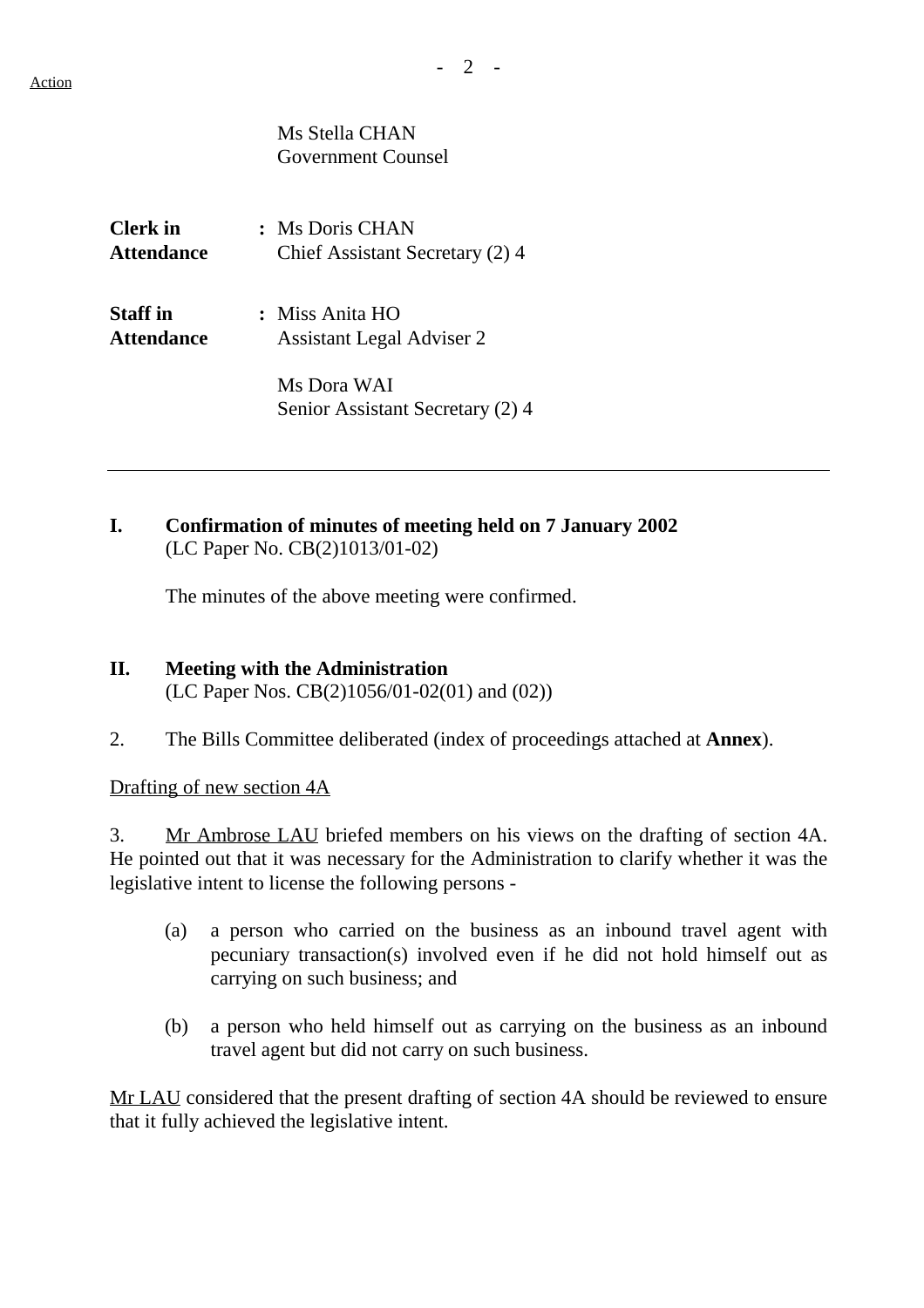|            | Ms Stella CHAN<br>Government Counsel |
|------------|--------------------------------------|
| Clerk in   | : Ms Doris CHAN                      |
| Attendance | Chief Assistant Secretary (2) 4      |
| Staff in   | : Miss Anita HO                      |
| Attendance | <b>Assistant Legal Adviser 2</b>     |
|            | Ms Dora WAI                          |

# **I. Confirmation of minutes of meeting held on 7 January 2002** (LC Paper No. CB(2)1013/01-02)

Senior Assistant Secretary (2) 4

The minutes of the above meeting were confirmed.

- **II. Meeting with the Administration** (LC Paper Nos. CB(2)1056/01-02(01) and (02))
- 2. The Bills Committee deliberated (index of proceedings attached at **Annex**).

Drafting of new section 4A

3. Mr Ambrose LAU briefed members on his views on the drafting of section 4A. He pointed out that it was necessary for the Administration to clarify whether it was the legislative intent to license the following persons -

- (a) a person who carried on the business as an inbound travel agent with pecuniary transaction(s) involved even if he did not hold himself out as carrying on such business; and
- (b) a person who held himself out as carrying on the business as an inbound travel agent but did not carry on such business.

Mr LAU considered that the present drafting of section 4A should be reviewed to ensure that it fully achieved the legislative intent.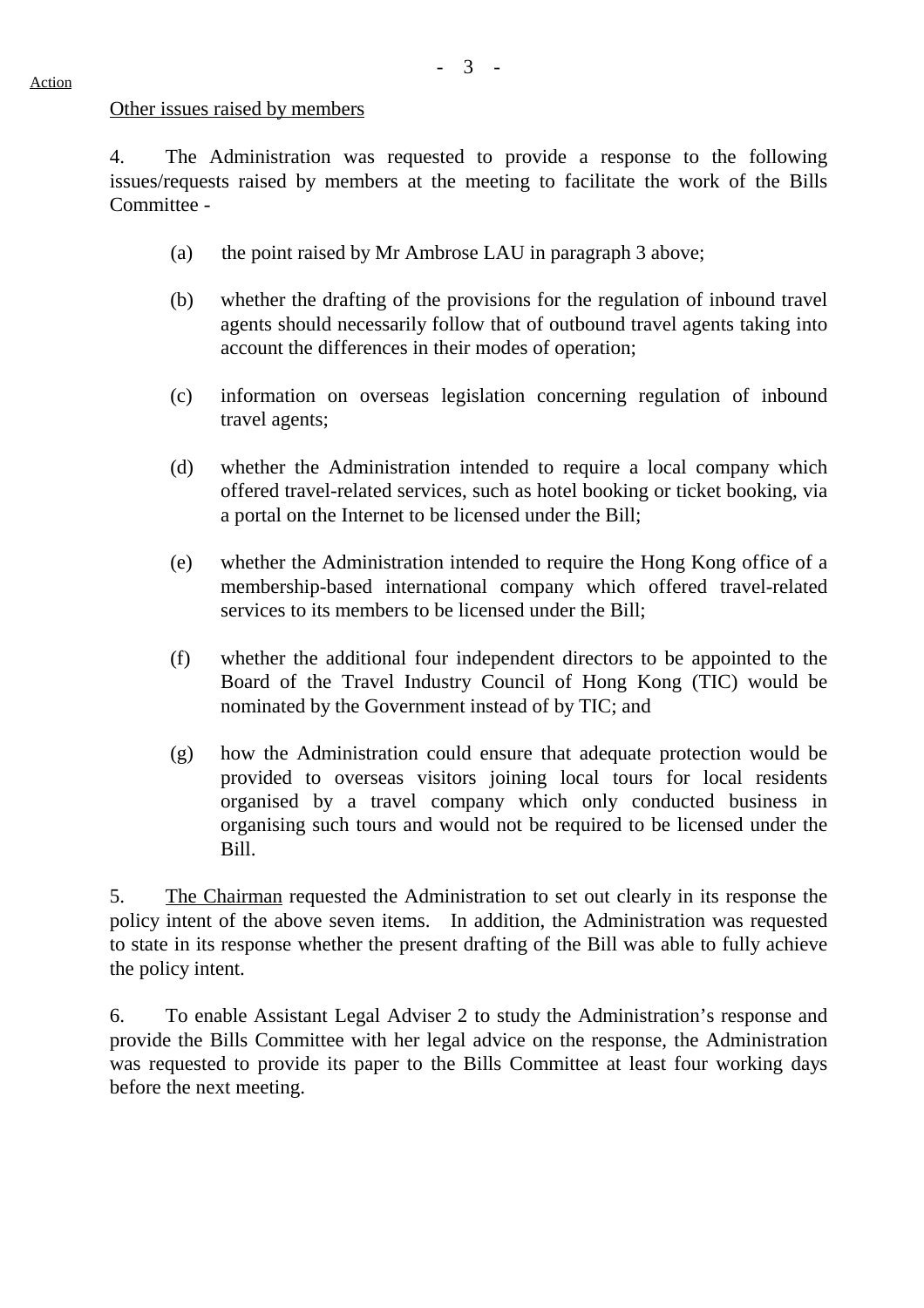#### Other issues raised by members

4. The Administration was requested to provide a response to the following issues/requests raised by members at the meeting to facilitate the work of the Bills Committee -

- (a) the point raised by Mr Ambrose LAU in paragraph 3 above;
- (b) whether the drafting of the provisions for the regulation of inbound travel agents should necessarily follow that of outbound travel agents taking into account the differences in their modes of operation;
- (c) information on overseas legislation concerning regulation of inbound travel agents;
- (d) whether the Administration intended to require a local company which offered travel-related services, such as hotel booking or ticket booking, via a portal on the Internet to be licensed under the Bill;
- (e) whether the Administration intended to require the Hong Kong office of a membership-based international company which offered travel-related services to its members to be licensed under the Bill;
- (f) whether the additional four independent directors to be appointed to the Board of the Travel Industry Council of Hong Kong (TIC) would be nominated by the Government instead of by TIC; and
- (g) how the Administration could ensure that adequate protection would be provided to overseas visitors joining local tours for local residents organised by a travel company which only conducted business in organising such tours and would not be required to be licensed under the Bill.

5. The Chairman requested the Administration to set out clearly in its response the policy intent of the above seven items. In addition, the Administration was requested to state in its response whether the present drafting of the Bill was able to fully achieve the policy intent.

6. To enable Assistant Legal Adviser 2 to study the Administration's response and provide the Bills Committee with her legal advice on the response, the Administration was requested to provide its paper to the Bills Committee at least four working days before the next meeting.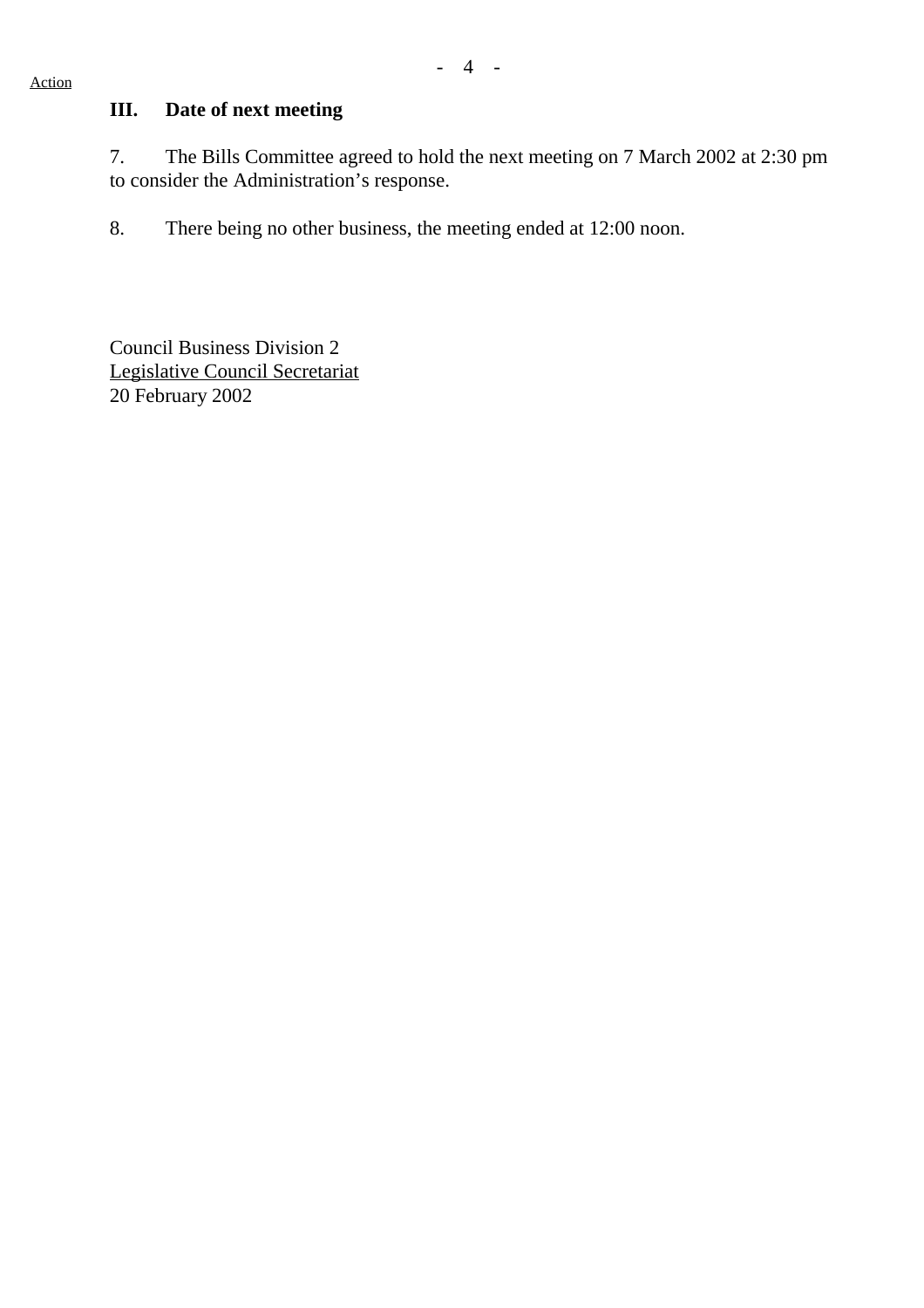## **III. Date of next meeting**

7. The Bills Committee agreed to hold the next meeting on 7 March 2002 at 2:30 pm to consider the Administration's response.

8. There being no other business, the meeting ended at 12:00 noon.

Council Business Division 2 Legislative Council Secretariat 20 February 2002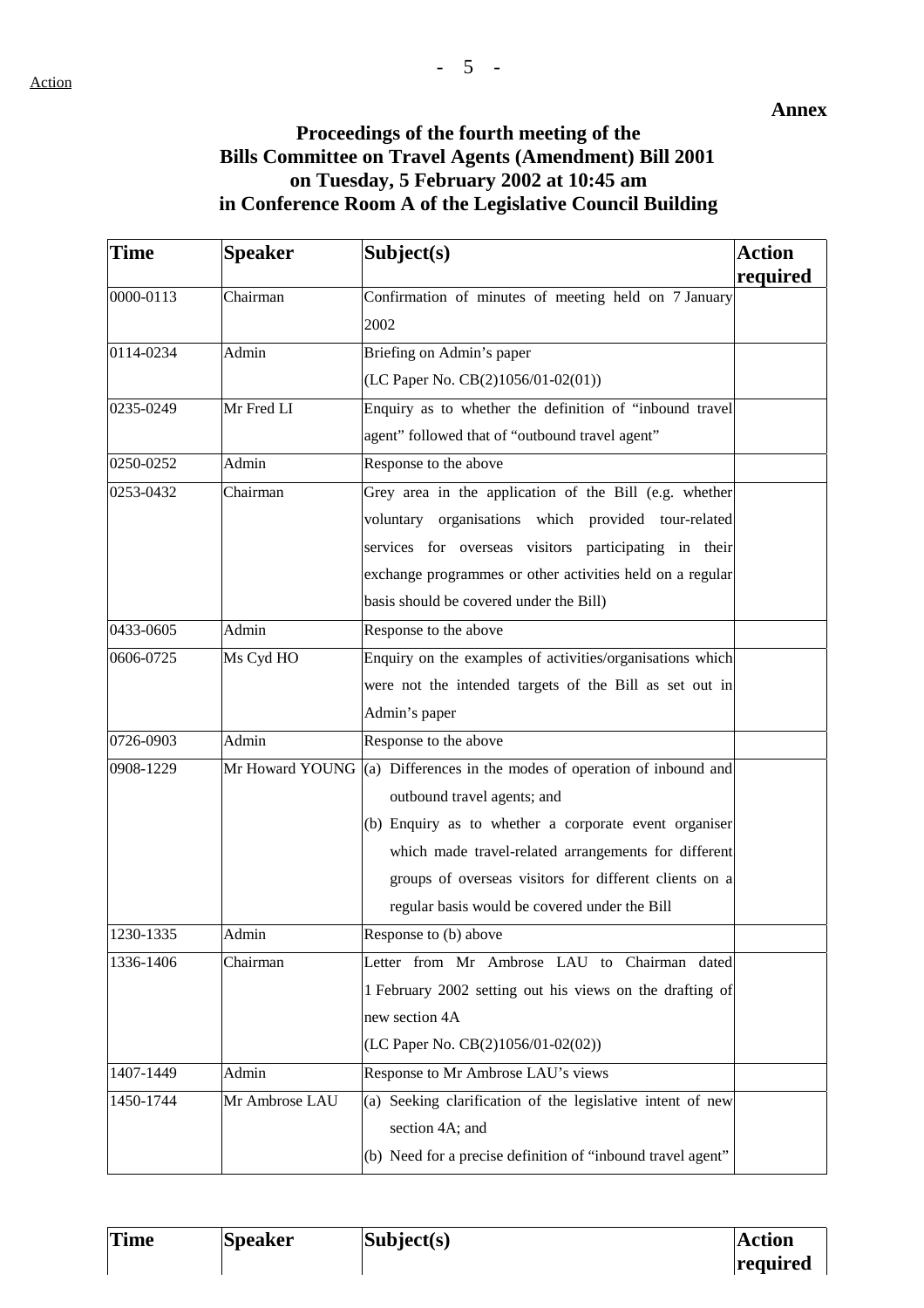#### **Annex**

# **Proceedings of the fourth meeting of the Bills Committee on Travel Agents (Amendment) Bill 2001 on Tuesday, 5 February 2002 at 10:45 am in Conference Room A of the Legislative Council Building**

| <b>Time</b> | <b>Speaker</b>  | Subject(s)                                                   | <b>Action</b> |
|-------------|-----------------|--------------------------------------------------------------|---------------|
|             |                 |                                                              | required      |
| 0000-0113   | Chairman        | Confirmation of minutes of meeting held on 7 January<br>2002 |               |
| 0114-0234   | Admin           | Briefing on Admin's paper                                    |               |
|             |                 | (LC Paper No. CB(2)1056/01-02(01))                           |               |
| 0235-0249   | Mr Fred LI      | Enquiry as to whether the definition of "inbound travel      |               |
|             |                 | agent" followed that of "outbound travel agent"              |               |
| 0250-0252   | Admin           | Response to the above                                        |               |
| 0253-0432   | Chairman        | Grey area in the application of the Bill (e.g. whether       |               |
|             |                 | voluntary organisations which provided tour-related          |               |
|             |                 | services for overseas visitors participating in their        |               |
|             |                 | exchange programmes or other activities held on a regular    |               |
|             |                 | basis should be covered under the Bill)                      |               |
| 0433-0605   | Admin           | Response to the above                                        |               |
| 0606-0725   | Ms Cyd HO       | Enquiry on the examples of activities/organisations which    |               |
|             |                 | were not the intended targets of the Bill as set out in      |               |
|             |                 | Admin's paper                                                |               |
| 0726-0903   | Admin           | Response to the above                                        |               |
| 0908-1229   | Mr Howard YOUNG | (a) Differences in the modes of operation of inbound and     |               |
|             |                 | outbound travel agents; and                                  |               |
|             |                 | (b) Enquiry as to whether a corporate event organiser        |               |
|             |                 | which made travel-related arrangements for different         |               |
|             |                 | groups of overseas visitors for different clients on a       |               |
|             |                 | regular basis would be covered under the Bill                |               |
| 1230-1335   | Admin           | Response to (b) above                                        |               |
| 1336-1406   | Chairman        | Letter from Mr Ambrose LAU to Chairman dated                 |               |
|             |                 | 1 February 2002 setting out his views on the drafting of     |               |
|             |                 | new section 4A                                               |               |
|             |                 | (LC Paper No. CB(2)1056/01-02(02))                           |               |
| 1407-1449   | Admin           | Response to Mr Ambrose LAU's views                           |               |
| 1450-1744   | Mr Ambrose LAU  | (a) Seeking clarification of the legislative intent of new   |               |
|             |                 | section 4A; and                                              |               |
|             |                 | (b) Need for a precise definition of "inbound travel agent"  |               |

| <b>Time</b> | <b>Speaker</b> | $\textbf{Subject}(s)$ | <b>Action</b>   |
|-------------|----------------|-----------------------|-----------------|
|             |                |                       | <b>required</b> |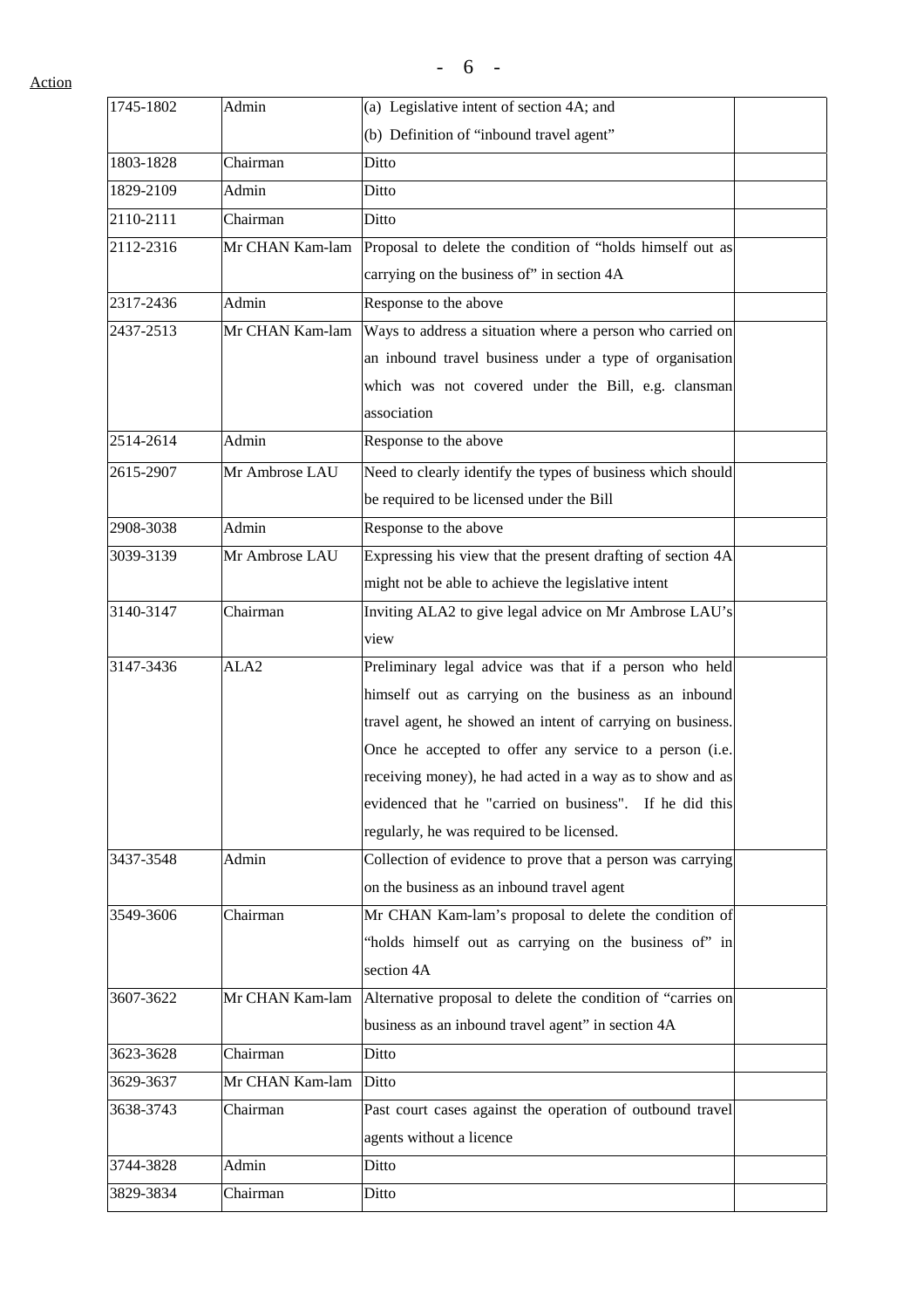Action

| 1745-1802 | Admin            | (a) Legislative intent of section 4A; and                   |  |
|-----------|------------------|-------------------------------------------------------------|--|
|           |                  | (b) Definition of "inbound travel agent"                    |  |
| 1803-1828 | Chairman         | Ditto                                                       |  |
| 1829-2109 | Admin            | Ditto                                                       |  |
| 2110-2111 | Chairman         | Ditto                                                       |  |
| 2112-2316 | Mr CHAN Kam-lam  | Proposal to delete the condition of "holds himself out as   |  |
|           |                  | carrying on the business of" in section 4A                  |  |
| 2317-2436 | Admin            | Response to the above                                       |  |
| 2437-2513 | Mr CHAN Kam-lam  | Ways to address a situation where a person who carried on   |  |
|           |                  | an inbound travel business under a type of organisation     |  |
|           |                  | which was not covered under the Bill, e.g. clansman         |  |
|           |                  | association                                                 |  |
| 2514-2614 | Admin            | Response to the above                                       |  |
| 2615-2907 | Mr Ambrose LAU   | Need to clearly identify the types of business which should |  |
|           |                  | be required to be licensed under the Bill                   |  |
| 2908-3038 | Admin            | Response to the above                                       |  |
| 3039-3139 | Mr Ambrose LAU   | Expressing his view that the present drafting of section 4A |  |
|           |                  | might not be able to achieve the legislative intent         |  |
| 3140-3147 | Chairman         | Inviting ALA2 to give legal advice on Mr Ambrose LAU's      |  |
|           |                  | view                                                        |  |
| 3147-3436 | ALA <sub>2</sub> | Preliminary legal advice was that if a person who held      |  |
|           |                  | himself out as carrying on the business as an inbound       |  |
|           |                  | travel agent, he showed an intent of carrying on business.  |  |
|           |                  | Once he accepted to offer any service to a person (i.e.     |  |
|           |                  | receiving money), he had acted in a way as to show and as   |  |
|           |                  | evidenced that he "carried on business". If he did this     |  |
|           |                  | regularly, he was required to be licensed.                  |  |
| 3437-3548 | Admin            | Collection of evidence to prove that a person was carrying  |  |
|           |                  | on the business as an inbound travel agent                  |  |
| 3549-3606 | Chairman         | Mr CHAN Kam-lam's proposal to delete the condition of       |  |
|           |                  | "holds himself out as carrying on the business of" in       |  |
|           |                  | section 4A                                                  |  |
| 3607-3622 | Mr CHAN Kam-lam  | Alternative proposal to delete the condition of "carries on |  |
|           |                  | business as an inbound travel agent" in section 4A          |  |
| 3623-3628 | Chairman         | Ditto                                                       |  |
| 3629-3637 | Mr CHAN Kam-lam  | Ditto                                                       |  |
| 3638-3743 | Chairman         | Past court cases against the operation of outbound travel   |  |
|           |                  | agents without a licence                                    |  |
| 3744-3828 | Admin            | Ditto                                                       |  |
| 3829-3834 | Chairman         | Ditto                                                       |  |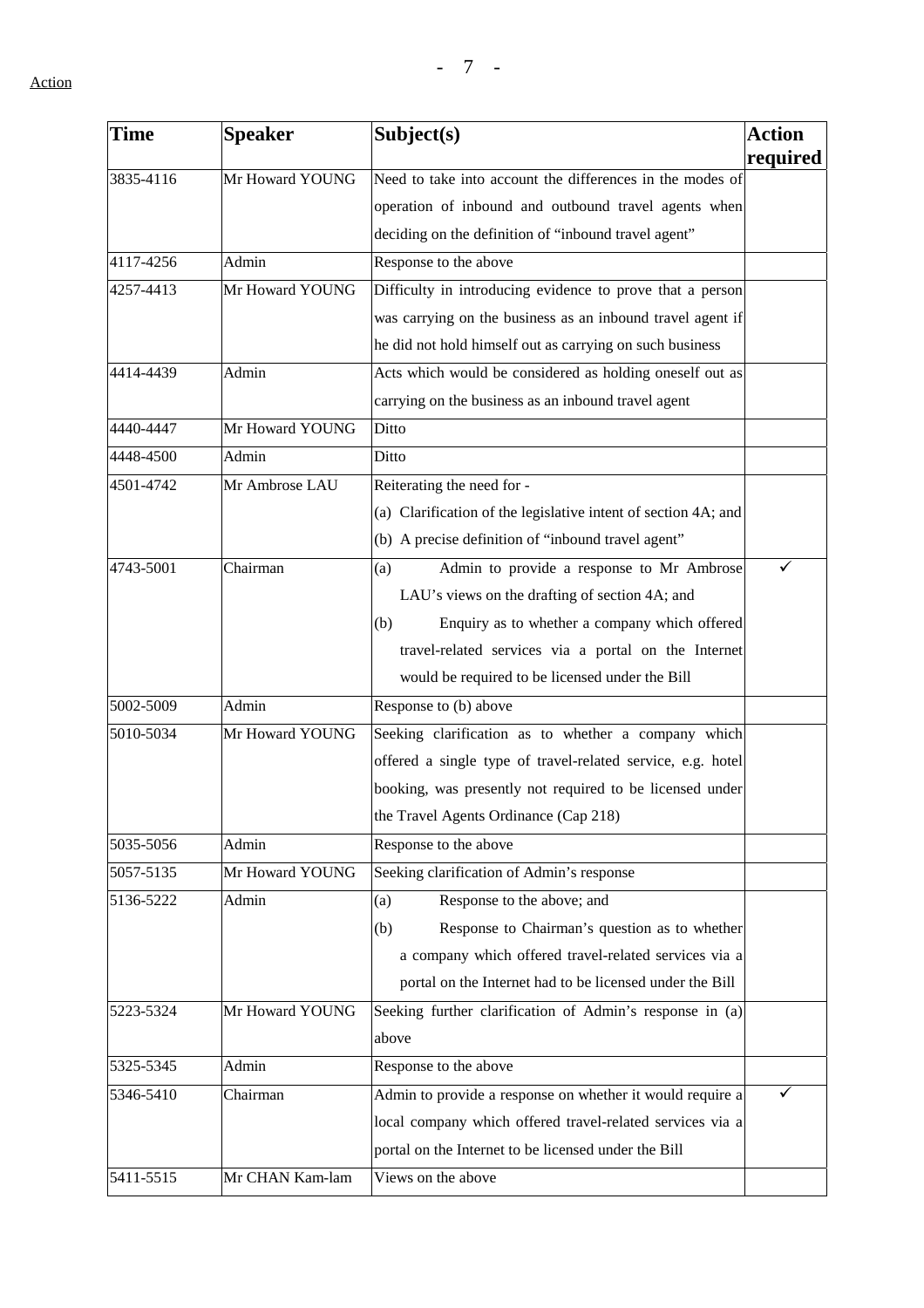| Time      | <b>Speaker</b>  | Subject(s)                                                     | <b>Action</b> |
|-----------|-----------------|----------------------------------------------------------------|---------------|
| 3835-4116 | Mr Howard YOUNG | Need to take into account the differences in the modes of      | required      |
|           |                 |                                                                |               |
|           |                 | operation of inbound and outbound travel agents when           |               |
|           |                 | deciding on the definition of "inbound travel agent"           |               |
| 4117-4256 | Admin           | Response to the above                                          |               |
| 4257-4413 | Mr Howard YOUNG | Difficulty in introducing evidence to prove that a person      |               |
|           |                 | was carrying on the business as an inbound travel agent if     |               |
|           |                 | he did not hold himself out as carrying on such business       |               |
| 4414-4439 | Admin           | Acts which would be considered as holding oneself out as       |               |
|           |                 | carrying on the business as an inbound travel agent            |               |
| 4440-4447 | Mr Howard YOUNG | Ditto                                                          |               |
| 4448-4500 | Admin           | Ditto                                                          |               |
| 4501-4742 | Mr Ambrose LAU  | Reiterating the need for -                                     |               |
|           |                 | (a) Clarification of the legislative intent of section 4A; and |               |
|           |                 | (b) A precise definition of "inbound travel agent"             |               |
| 4743-5001 | Chairman        | Admin to provide a response to Mr Ambrose<br>(a)               | ✓             |
|           |                 | LAU's views on the drafting of section 4A; and                 |               |
|           |                 | Enquiry as to whether a company which offered<br>(b)           |               |
|           |                 | travel-related services via a portal on the Internet           |               |
|           |                 | would be required to be licensed under the Bill                |               |
| 5002-5009 | Admin           | Response to (b) above                                          |               |
| 5010-5034 | Mr Howard YOUNG | Seeking clarification as to whether a company which            |               |
|           |                 | offered a single type of travel-related service, e.g. hotel    |               |
|           |                 | booking, was presently not required to be licensed under       |               |
|           |                 | the Travel Agents Ordinance (Cap 218)                          |               |
| 5035-5056 | Admin           | Response to the above                                          |               |
| 5057-5135 | Mr Howard YOUNG | Seeking clarification of Admin's response                      |               |
| 5136-5222 | Admin           | Response to the above; and<br>(a)                              |               |
|           |                 | Response to Chairman's question as to whether<br>(b)           |               |
|           |                 | a company which offered travel-related services via a          |               |
|           |                 | portal on the Internet had to be licensed under the Bill       |               |
| 5223-5324 | Mr Howard YOUNG | Seeking further clarification of Admin's response in (a)       |               |
|           |                 | above                                                          |               |
| 5325-5345 | Admin           | Response to the above                                          |               |
| 5346-5410 | Chairman        | Admin to provide a response on whether it would require a      |               |
|           |                 | local company which offered travel-related services via a      |               |
|           |                 | portal on the Internet to be licensed under the Bill           |               |
| 5411-5515 | Mr CHAN Kam-lam | Views on the above                                             |               |
|           |                 |                                                                |               |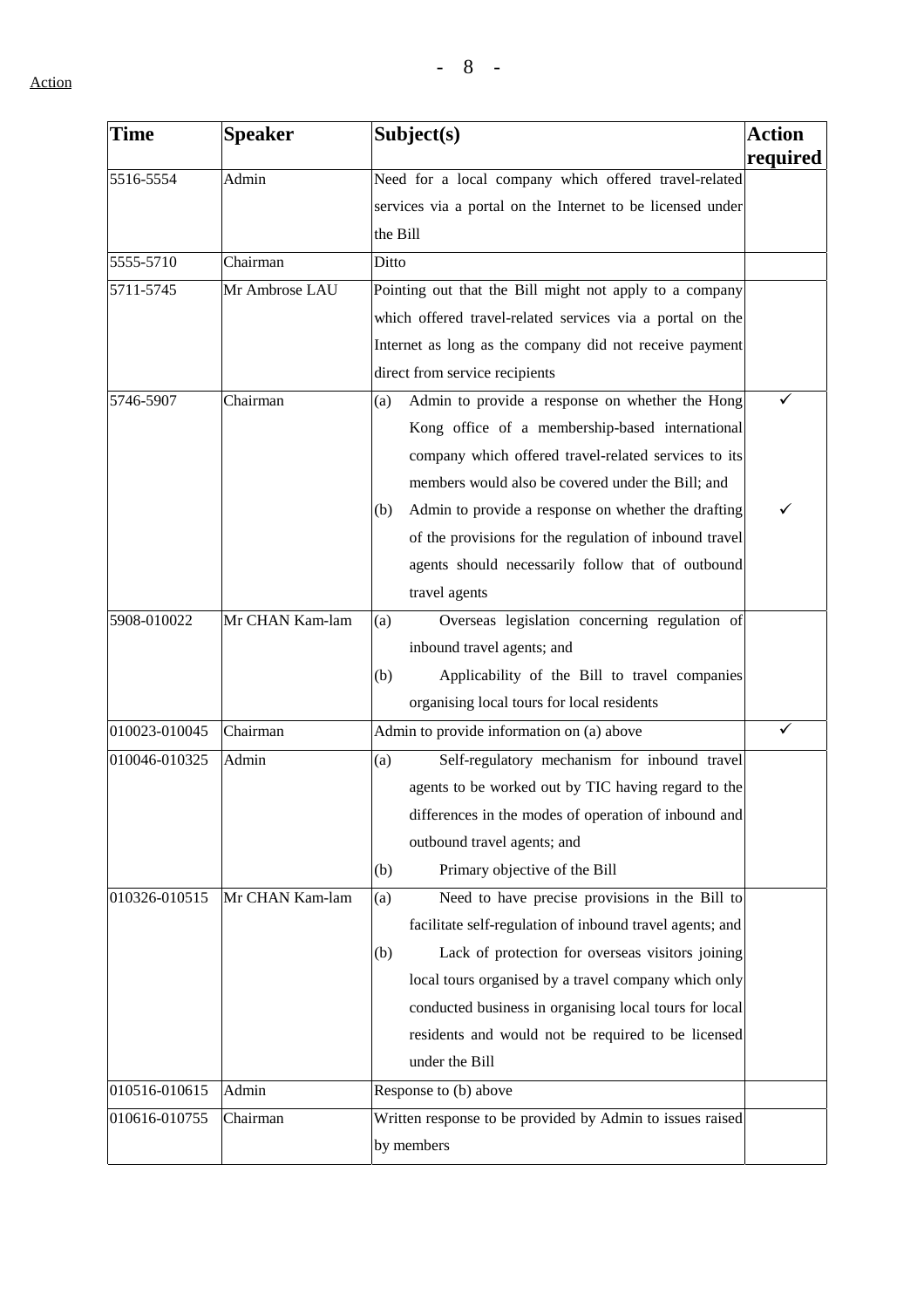| Time          | <b>Speaker</b>  | Subject(s)                                                 | <b>Action</b> |
|---------------|-----------------|------------------------------------------------------------|---------------|
| 5516-5554     | Admin           | Need for a local company which offered travel-related      | required      |
|               |                 | services via a portal on the Internet to be licensed under |               |
|               |                 |                                                            |               |
|               |                 | the Bill                                                   |               |
| 5555-5710     | Chairman        | Ditto                                                      |               |
| 5711-5745     | Mr Ambrose LAU  | Pointing out that the Bill might not apply to a company    |               |
|               |                 | which offered travel-related services via a portal on the  |               |
|               |                 | Internet as long as the company did not receive payment    |               |
|               |                 | direct from service recipients                             |               |
| 5746-5907     | Chairman        | Admin to provide a response on whether the Hong<br>(a)     | ✓             |
|               |                 | Kong office of a membership-based international            |               |
|               |                 | company which offered travel-related services to its       |               |
|               |                 | members would also be covered under the Bill; and          |               |
|               |                 | Admin to provide a response on whether the drafting<br>(b) | ✓             |
|               |                 | of the provisions for the regulation of inbound travel     |               |
|               |                 | agents should necessarily follow that of outbound          |               |
|               |                 | travel agents                                              |               |
| 5908-010022   | Mr CHAN Kam-lam | Overseas legislation concerning regulation of<br>(a)       |               |
|               |                 | inbound travel agents; and                                 |               |
|               |                 | Applicability of the Bill to travel companies<br>(b)       |               |
|               |                 | organising local tours for local residents                 |               |
| 010023-010045 | Chairman        | Admin to provide information on (a) above                  | ✓             |
| 010046-010325 | Admin           | Self-regulatory mechanism for inbound travel<br>(a)        |               |
|               |                 | agents to be worked out by TIC having regard to the        |               |
|               |                 | differences in the modes of operation of inbound and       |               |
|               |                 | outbound travel agents; and                                |               |
|               |                 | Primary objective of the Bill<br>(b)                       |               |
| 010326-010515 | Mr CHAN Kam-lam | Need to have precise provisions in the Bill to<br>(a)      |               |
|               |                 | facilitate self-regulation of inbound travel agents; and   |               |
|               |                 | (b)<br>Lack of protection for overseas visitors joining    |               |
|               |                 | local tours organised by a travel company which only       |               |
|               |                 | conducted business in organising local tours for local     |               |
|               |                 | residents and would not be required to be licensed         |               |
|               |                 | under the Bill                                             |               |
| 010516-010615 | Admin           | Response to (b) above                                      |               |
| 010616-010755 | Chairman        | Written response to be provided by Admin to issues raised  |               |
|               |                 | by members                                                 |               |
|               |                 |                                                            |               |